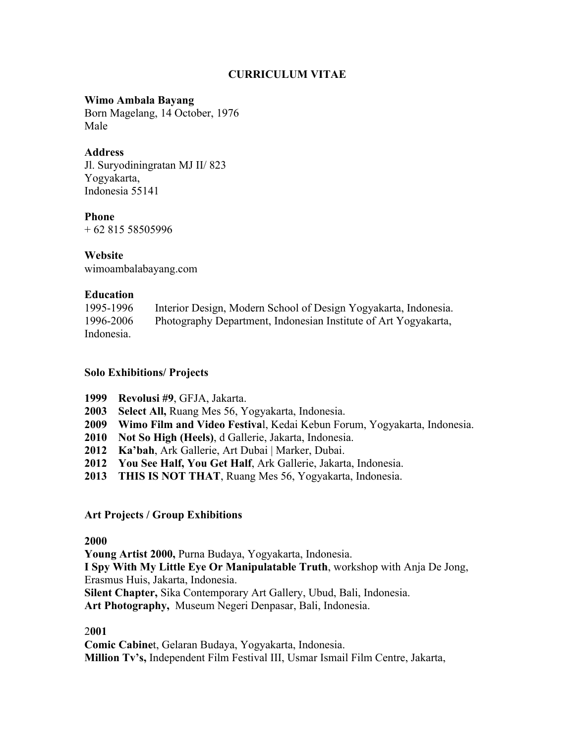# **CURRICULUM VITAE**

# **Wimo Ambala Bayang**

Born Magelang, 14 October, 1976 Male

## **Address**

Jl. Suryodiningratan MJ II/ 823 Yogyakarta, Indonesia 55141

## **Phone**

+ 62 815 58505996

### **Website**

wimoambalabayang.com

### **Education**

| 1995-1996  | Interior Design, Modern School of Design Yogyakarta, Indonesia. |
|------------|-----------------------------------------------------------------|
| 1996-2006  | Photography Department, Indonesian Institute of Art Yogyakarta, |
| Indonesia. |                                                                 |

## **Solo Exhibitions/ Projects**

- **1999 Revolusi #9**, GFJA, Jakarta.
- **2003 Select All,** Ruang Mes 56, Yogyakarta, Indonesia.
- **2009 Wimo Film and Video Festiva**l, Kedai Kebun Forum, Yogyakarta, Indonesia.
- **2010 Not So High (Heels)**, d Gallerie, Jakarta, Indonesia.
- **2012 Ka'bah**, Ark Gallerie, Art Dubai | Marker, Dubai.
- **2012 You See Half, You Get Half**, Ark Gallerie, Jakarta, Indonesia.
- **2013 THIS IS NOT THAT**, Ruang Mes 56, Yogyakarta, Indonesia.

# **Art Projects / Group Exhibitions**

### **2000**

**Young Artist 2000,** Purna Budaya, Yogyakarta, Indonesia.

**I Spy With My Little Eye Or Manipulatable Truth**, workshop with Anja De Jong, Erasmus Huis, Jakarta, Indonesia.

**Silent Chapter,** Sika Contemporary Art Gallery, Ubud, Bali, Indonesia.

**Art Photography,** Museum Negeri Denpasar, Bali, Indonesia.

### 2**001**

**Comic Cabine**t, Gelaran Budaya, Yogyakarta, Indonesia.

**Million Tv's,** Independent Film Festival III, Usmar Ismail Film Centre, Jakarta,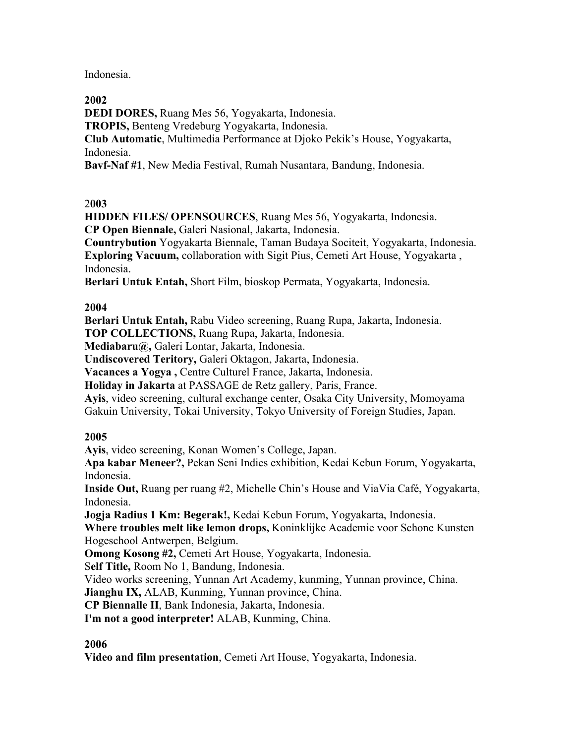Indonesia.

## **2002**

**DEDI DORES,** Ruang Mes 56, Yogyakarta, Indonesia. **TROPIS,** Benteng Vredeburg Yogyakarta, Indonesia. **Club Automatic**, Multimedia Performance at Djoko Pekik's House, Yogyakarta, Indonesia.

**Bavf-Naf #1**, New Media Festival, Rumah Nusantara, Bandung, Indonesia.

## 2**003**

**HIDDEN FILES/ OPENSOURCES**, Ruang Mes 56, Yogyakarta, Indonesia. **CP Open Biennale,** Galeri Nasional, Jakarta, Indonesia.

**Countrybution** Yogyakarta Biennale, Taman Budaya Sociteit, Yogyakarta, Indonesia. **Exploring Vacuum,** collaboration with Sigit Pius, Cemeti Art House, Yogyakarta , Indonesia.

**Berlari Untuk Entah,** Short Film, bioskop Permata, Yogyakarta, Indonesia.

## **2004**

**Berlari Untuk Entah,** Rabu Video screening, Ruang Rupa, Jakarta, Indonesia. **TOP COLLECTIONS,** Ruang Rupa, Jakarta, Indonesia.

**Mediabaru@,** Galeri Lontar, Jakarta, Indonesia.

**Undiscovered Teritory,** Galeri Oktagon, Jakarta, Indonesia.

**Vacances a Yogya ,** Centre Culturel France, Jakarta, Indonesia.

**Holiday in Jakarta** at PASSAGE de Retz gallery, Paris, France.

**Ayis**, video screening, cultural exchange center, Osaka City University, Momoyama Gakuin University, Tokai University, Tokyo University of Foreign Studies, Japan.

# **2005**

**Ayis**, video screening, Konan Women's College, Japan.

**Apa kabar Meneer?,** Pekan Seni Indies exhibition, Kedai Kebun Forum, Yogyakarta, Indonesia.

**Inside Out,** Ruang per ruang #2, Michelle Chin's House and ViaVia Café, Yogyakarta, Indonesia.

**Jogja Radius 1 Km: Begerak!,** Kedai Kebun Forum, Yogyakarta, Indonesia.

**Where troubles melt like lemon drops,** Koninklijke Academie voor Schone Kunsten Hogeschool Antwerpen, Belgium.

**Omong Kosong #2,** Cemeti Art House, Yogyakarta, Indonesia.

S**elf Title,** Room No 1, Bandung, Indonesia.

Video works screening, Yunnan Art Academy, kunming, Yunnan province, China.

**Jianghu IX,** ALAB, Kunming, Yunnan province, China.

**CP Biennalle II**, Bank Indonesia, Jakarta, Indonesia.

**I'm not a good interpreter!** ALAB, Kunming, China.

# **2006**

**Video and film presentation**, Cemeti Art House, Yogyakarta, Indonesia.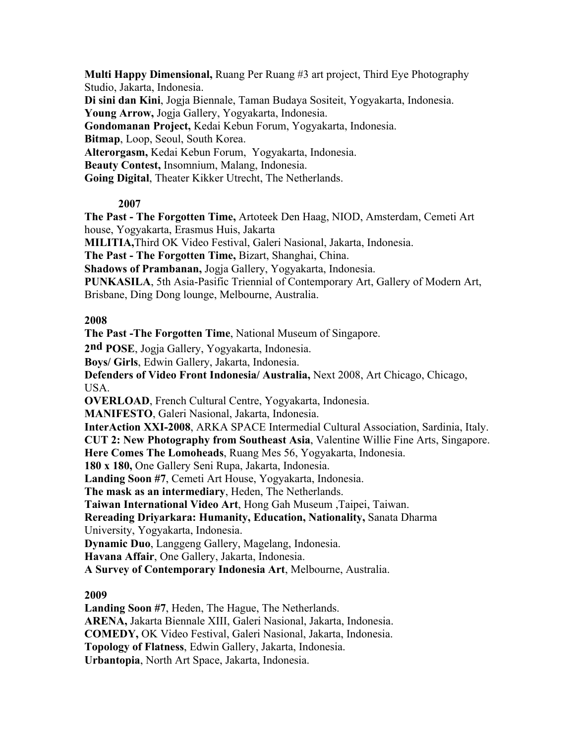**Multi Happy Dimensional,** Ruang Per Ruang #3 art project, Third Eye Photography Studio, Jakarta, Indonesia. **Di sini dan Kini**, Jogja Biennale, Taman Budaya Sositeit, Yogyakarta, Indonesia. **Young Arrow,** Jogja Gallery, Yogyakarta, Indonesia. **Gondomanan Project,** Kedai Kebun Forum, Yogyakarta, Indonesia. **Bitmap**, Loop, Seoul, South Korea. **Alterorgasm,** Kedai Kebun Forum, Yogyakarta, Indonesia. **Beauty Contest,** Insomnium, Malang, Indonesia. **Going Digital**, Theater Kikker Utrecht, The Netherlands.

# **2007**

**The Past - The Forgotten Time,** Artoteek Den Haag, NIOD, Amsterdam, Cemeti Art house, Yogyakarta, Erasmus Huis, Jakarta

**MILITIA,**Third OK Video Festival, Galeri Nasional, Jakarta, Indonesia.

**The Past - The Forgotten Time,** Bizart, Shanghai, China.

**Shadows of Prambanan,** Jogja Gallery, Yogyakarta, Indonesia.

**PUNKASILA**, 5th Asia-Pasific Triennial of Contemporary Art, Gallery of Modern Art, Brisbane, Ding Dong lounge, Melbourne, Australia.

## **2008**

**The Past -The Forgotten Time**, National Museum of Singapore.

**2nd POSE**, Jogja Gallery, Yogyakarta, Indonesia.

**Boys/ Girls**, Edwin Gallery, Jakarta, Indonesia.

**Defenders of Video Front Indonesia/ Australia,** Next 2008, Art Chicago, Chicago, USA.

**OVERLOAD**, French Cultural Centre, Yogyakarta, Indonesia.

**MANIFESTO**, Galeri Nasional, Jakarta, Indonesia.

**InterAction XXI-2008**, ARKA SPACE Intermedial Cultural Association, Sardinia, Italy.

**CUT 2: New Photography from Southeast Asia**, Valentine Willie Fine Arts, Singapore.

**Here Comes The Lomoheads**, Ruang Mes 56, Yogyakarta, Indonesia.

**180 x 180,** One Gallery Seni Rupa, Jakarta, Indonesia.

**Landing Soon #7**, Cemeti Art House, Yogyakarta, Indonesia.

**The mask as an intermediary**, Heden, The Netherlands.

**Taiwan International Video Art**, Hong Gah Museum ,Taipei, Taiwan.

**Rereading Driyarkara: Humanity, Education, Nationality,** Sanata Dharma

University, Yogyakarta, Indonesia.

**Dynamic Duo**, Langgeng Gallery, Magelang, Indonesia.

**Havana Affair**, One Gallery, Jakarta, Indonesia.

**A Survey of Contemporary Indonesia Art**, Melbourne, Australia.

# **2009**

**Landing Soon #7**, Heden, The Hague, The Netherlands.

**ARENA,** Jakarta Biennale XIII, Galeri Nasional, Jakarta, Indonesia.

**COMEDY,** OK Video Festival, Galeri Nasional, Jakarta, Indonesia.

**Topology of Flatness**, Edwin Gallery, Jakarta, Indonesia.

**Urbantopia**, North Art Space, Jakarta, Indonesia.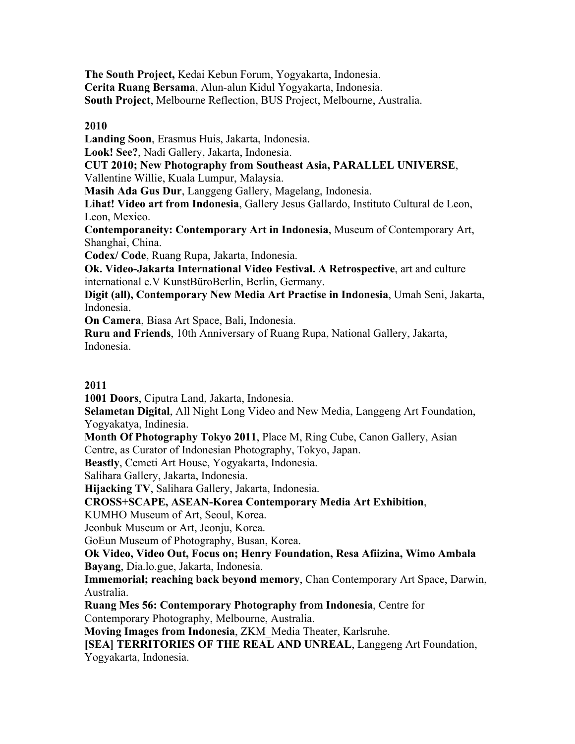**The South Project,** Kedai Kebun Forum, Yogyakarta, Indonesia. **Cerita Ruang Bersama**, Alun-alun Kidul Yogyakarta, Indonesia. **South Project**, Melbourne Reflection, BUS Project, Melbourne, Australia.

# **2010**

**Landing Soon**, Erasmus Huis, Jakarta, Indonesia.

**Look! See?**, Nadi Gallery, Jakarta, Indonesia.

**CUT 2010; New Photography from Southeast Asia, PARALLEL UNIVERSE**,

Vallentine Willie, Kuala Lumpur, Malaysia.

**Masih Ada Gus Dur**, Langgeng Gallery, Magelang, Indonesia.

**Lihat! Video art from Indonesia**, Gallery Jesus Gallardo, Instituto Cultural de Leon, Leon, Mexico.

**Contemporaneity: Contemporary Art in Indonesia**, Museum of Contemporary Art, Shanghai, China.

**Codex/ Code**, Ruang Rupa, Jakarta, Indonesia.

**Ok. Video-Jakarta International Video Festival. A Retrospective**, art and culture international e.V KunstBüroBerlin, Berlin, Germany.

**Digit (all), Contemporary New Media Art Practise in Indonesia**, Umah Seni, Jakarta, Indonesia.

**On Camera**, Biasa Art Space, Bali, Indonesia.

**Ruru and Friends**, 10th Anniversary of Ruang Rupa, National Gallery, Jakarta, Indonesia.

# **2011**

**1001 Doors**, Ciputra Land, Jakarta, Indonesia.

**Selametan Digital**, All Night Long Video and New Media, Langgeng Art Foundation, Yogyakatya, Indinesia.

**Month Of Photography Tokyo 2011**, Place M, Ring Cube, Canon Gallery, Asian Centre, as Curator of Indonesian Photography, Tokyo, Japan.

**Beastly**, Cemeti Art House, Yogyakarta, Indonesia.

Salihara Gallery, Jakarta, Indonesia.

**Hijacking TV**, Salihara Gallery, Jakarta, Indonesia.

**CROSS+SCAPE, ASEAN-Korea Contemporary Media Art Exhibition**,

KUMHO Museum of Art, Seoul, Korea.

Jeonbuk Museum or Art, Jeonju, Korea.

GoEun Museum of Photography, Busan, Korea.

**Ok Video, Video Out, Focus on; Henry Foundation, Resa Afiizina, Wimo Ambala Bayang**, Dia.lo.gue, Jakarta, Indonesia.

**Immemorial; reaching back beyond memory**, Chan Contemporary Art Space, Darwin, Australia.

**Ruang Mes 56: Contemporary Photography from Indonesia**, Centre for Contemporary Photography, Melbourne, Australia.

**Moving Images from Indonesia**, ZKM\_Media Theater, Karlsruhe.

**[SEA] TERRITORIES OF THE REAL AND UNREAL**, Langgeng Art Foundation, Yogyakarta, Indonesia.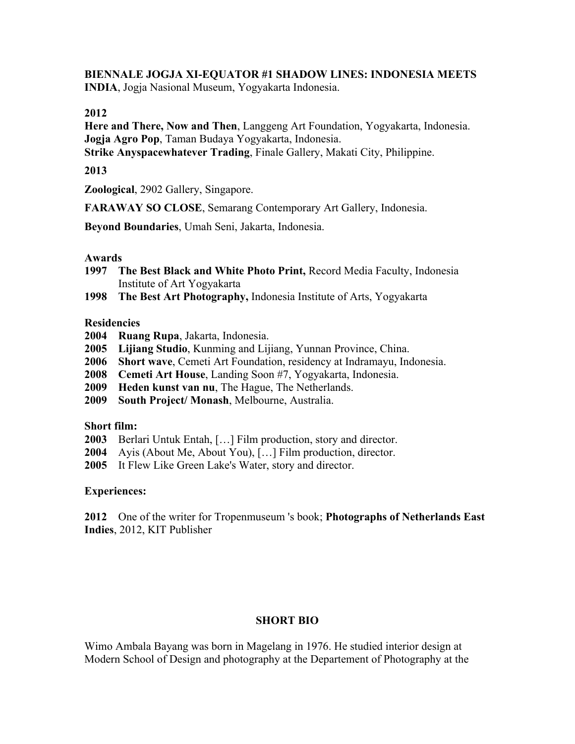#### **BIENNALE JOGJA XI-EQUATOR #1 SHADOW LINES: INDONESIA MEETS INDIA**, Jogja Nasional Museum, Yogyakarta Indonesia.

#### **2012**

**Here and There, Now and Then**, Langgeng Art Foundation, Yogyakarta, Indonesia. **Jogja Agro Pop**, Taman Budaya Yogyakarta, Indonesia.

**Strike Anyspacewhatever Trading**, Finale Gallery, Makati City, Philippine.

## **2013**

**Zoological**, 2902 Gallery, Singapore.

**FARAWAY SO CLOSE**, Semarang Contemporary Art Gallery, Indonesia.

**Beyond Boundaries**, Umah Seni, Jakarta, Indonesia.

#### **Awards**

- **1997 The Best Black and White Photo Print,** Record Media Faculty, Indonesia Institute of Art Yogyakarta
- **1998 The Best Art Photography,** Indonesia Institute of Arts, Yogyakarta

#### **Residencies**

- **2004 Ruang Rupa**, Jakarta, Indonesia.
- **2005 Lijiang Studio**, Kunming and Lijiang, Yunnan Province, China.
- **2006 Short wave**, Cemeti Art Foundation, residency at Indramayu, Indonesia.
- **2008 Cemeti Art House**, Landing Soon #7, Yogyakarta, Indonesia.
- **2009 Heden kunst van nu**, The Hague, The Netherlands.
- **2009 South Project/ Monash**, Melbourne, Australia.

#### **Short film:**

- **2003** Berlari Untuk Entah, […] Film production, story and director.
- **2004** Ayis (About Me, About You), […] Film production, director.
- **2005** It Flew Like Green Lake's Water, story and director.

### **Experiences:**

**2012** One of the writer for Tropenmuseum 's book; **Photographs of Netherlands East Indies**, 2012, KIT Publisher

### **SHORT BIO**

Wimo Ambala Bayang was born in Magelang in 1976. He studied interior design at Modern School of Design and photography at the Departement of Photography at the